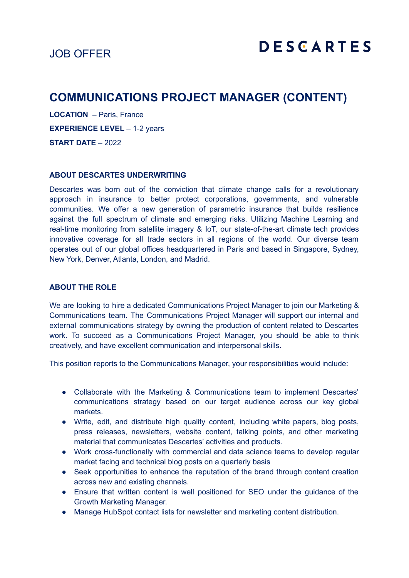## JOB OFFER

# **COMMUNICATIONS PROJECT MANAGER (CONTENT)**

**LOCATION** – Paris, France **EXPERIENCE LEVEL** – 1-2 years **START DATE** – 2022

#### **ABOUT DESCARTES UNDERWRITING**

Descartes was born out of the conviction that climate change calls for a revolutionary approach in insurance to better protect corporations, governments, and vulnerable communities. We offer a new generation of parametric insurance that builds resilience against the full spectrum of climate and emerging risks. Utilizing Machine Learning and real-time monitoring from satellite imagery & IoT, our state-of-the-art climate tech provides innovative coverage for all trade sectors in all regions of the world. Our diverse team operates out of our global offices headquartered in Paris and based in Singapore, Sydney, New York, Denver, Atlanta, London, and Madrid.

#### **ABOUT THE ROLE**

We are looking to hire a dedicated Communications Project Manager to join our Marketing & Communications team. The Communications Project Manager will support our internal and external communications strategy by owning the production of content related to Descartes work. To succeed as a Communications Project Manager, you should be able to think creatively, and have excellent communication and interpersonal skills.

This position reports to the Communications Manager, your responsibilities would include:

- Collaborate with the Marketing & Communications team to implement Descartes' communications strategy based on our target audience across our key global markets.
- Write, edit, and distribute high quality content, including white papers, blog posts, press releases, newsletters, website content, talking points, and other marketing material that communicates Descartes' activities and products.
- Work cross-functionally with commercial and data science teams to develop regular market facing and technical blog posts on a quarterly basis
- Seek opportunities to enhance the reputation of the brand through content creation across new and existing channels.
- Ensure that written content is well positioned for SEO under the guidance of the Growth Marketing Manager.
- Manage HubSpot contact lists for newsletter and marketing content distribution.